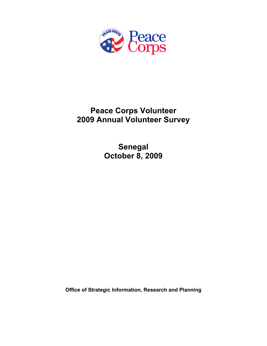

# **Peace Corps Volunteer 2009 Annual Volunteer Survey**

**Senegal October 8, 2009** 

**Office of Strategic Information, Research and Planning**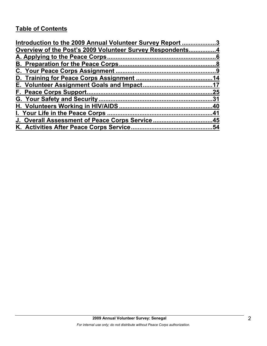# **Table of Contents**

| Introduction to the 2009 Annual Volunteer Survey Report 3 |     |
|-----------------------------------------------------------|-----|
| Overview of the Post's 2009 Volunteer Survey Respondents4 |     |
|                                                           |     |
|                                                           |     |
|                                                           |     |
|                                                           |     |
|                                                           |     |
|                                                           | .25 |
|                                                           |     |
|                                                           |     |
|                                                           |     |
| J. Overall Assessment of Peace Corps Service45            |     |
|                                                           | .54 |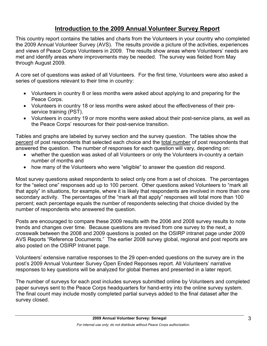# **Introduction to the 2009 Annual Volunteer Survey Report**

This country report contains the tables and charts from the Volunteers in your country who completed the 2009 Annual Volunteer Survey (AVS). The results provide a picture of the activities, experiences and views of Peace Corps Volunteers in 2009. The results show areas where Volunteers' needs are met and identify areas where improvements may be needed. The survey was fielded from May through August 2009.

A core set of questions was asked of all Volunteers. For the first time, Volunteers were also asked a series of questions relevant to their time in country:

- Volunteers in country 8 or less months were asked about applying to and preparing for the Peace Corps.
- Volunteers in country 18 or less months were asked about the effectiveness of their preservice training (PST).
- Volunteers in country 19 or more months were asked about their post-service plans, as well as the Peace Corps' resources for their post-service transition.

Tables and graphs are labeled by survey section and the survey question. The tables show the percent of post respondents that selected each choice and the total number of post respondents that answered the question. The number of responses for each question will vary, depending on:

- whether the question was asked of all Volunteers or only the Volunteers in-country a certain number of months and
- how many of the Volunteers who were "eligible" to answer the question did respond.

Most survey questions asked respondents to select only one from a set of choices. The percentages for the "select one" responses add up to 100 percent. Other questions asked Volunteers to "mark all that apply" in situations, for example, where it is likely that respondents are involved in more than one secondary activity. The percentages of the "mark all that apply" responses will total more than 100 percent; each percentage equals the number of respondents selecting that choice divided by the number of respondents who answered the question.

Posts are encouraged to compare these 2009 results with the 2006 and 2008 survey results to note trends and changes over time. Because questions are revised from one survey to the next, a crosswalk between the 2008 and 2009 questions is posted on the OSIRP intranet page under 2009 AVS Reports "Reference Documents." The earlier 2008 survey global, regional and post reports are also posted on the OSIRP Intranet page.

Volunteers' extensive narrative responses to the 29 open-ended questions on the survey are in the post's 2009 Annual Volunteer Survey Open Ended Reponses report. All Volunteers' narrative responses to key questions will be analyzed for global themes and presented in a later report.

The number of surveys for each post includes surveys submitted online by Volunteers and completed paper surveys sent to the Peace Corps headquarters for hand-entry into the online survey system. The final count may include mostly completed partial surveys added to the final dataset after the survey closed.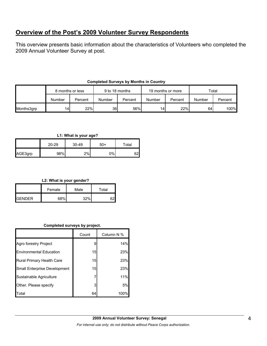# **Overview of the Post's 2009 Volunteer Survey Respondents**

This overview presents basic information about the characteristics of Volunteers who completed the 2009 Annual Volunteer Survey at post.

|            | 8 months or less |         | 9 to 18 months  |         | 19 months or more |         | Total  |         |
|------------|------------------|---------|-----------------|---------|-------------------|---------|--------|---------|
|            | Number           | Percent | Number          | Percent | Number            | Percent | Number | Percent |
| Months3grp | 14 <sub>1</sub>  | 22%     | 36 <sup>l</sup> | 56%     | 14 <sub>1</sub>   | 22%     | 64     | 100%    |

# **Completed Surveys by Months in Country**

**L1: What is your age?**

|         | 20-29 | $30 - 49$ | 50+ | $\tau$ otal |
|---------|-------|-----------|-----|-------------|
| AGE3grp | 98%   | 2%        | 0%  | ຂາ          |

# **L2: What is your gender?**

|                 | Female | Male | Total |  |
|-----------------|--------|------|-------|--|
| <b>I</b> GENDER | 68%    | 220/ |       |  |

# **Completed surveys by project.**

|                                | Count | Column N % |
|--------------------------------|-------|------------|
| Agro forestry Project          | 9     | 14%        |
| <b>Environmental Education</b> | 15    | 23%        |
| Rural Primary Health Care      | 15    | 23%        |
| Small Enterprise Development   | 15    | 23%        |
| Sustainable Agriculture        |       | 11%        |
| Other. Please specify          | 3     | 5%         |
| Total                          | 64    | 100%       |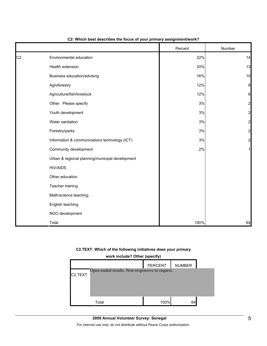|                |                                                 | Percent | Number                  |
|----------------|-------------------------------------------------|---------|-------------------------|
| C <sub>2</sub> | Environmental education                         | 22%     | 14                      |
|                | Health extension                                | 20%     | 13                      |
|                | Business education/advising                     | 16%     | 10                      |
|                | Agroforestry                                    | 12%     | 8                       |
|                | Agriculture/fish/livestock                      | 12%     | 8                       |
|                | Other: Please specify                           | 3%      | $\overline{a}$          |
|                | Youth development                               | 3%      | 2                       |
|                | Water sanitation                                | 3%      | $\overline{\mathbf{c}}$ |
|                | Forestry/parks                                  | 3%      | $\overline{c}$          |
|                | Information & communications technology (ICT)   | 3%      | $\overline{a}$          |
|                | Community development                           | 2%      |                         |
|                | Urban & regional planning/municipal development |         |                         |
|                | <b>HIV/AIDS</b>                                 |         |                         |
|                | Other education                                 |         |                         |
|                | Teacher training                                |         |                         |
|                | Math/science teaching                           |         |                         |
|                | English teaching                                |         |                         |
|                | NGO development                                 |         |                         |
|                | Total                                           | 100%    | 64                      |

#### **C2: Which best describes the focus of your primary assignment/work?**

#### **C2.TEXT: Which of the following initiatives does your primary**

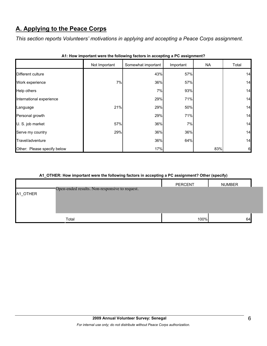# **A. Applying to the Peace Corps**

*This section reports Volunteers' motivations in applying and accepting a Peace Corps assignment.* 

|                             | Not Important | Somewhat important | Important | <b>NA</b> | Total |
|-----------------------------|---------------|--------------------|-----------|-----------|-------|
| Different culture           |               | 43%                | 57%       |           | 14    |
| Work experience             | 7%            | 36%                | 57%       |           | 14    |
| Help others                 |               | 7%                 | 93%       |           | 14    |
| International experience    |               | 29%                | 71%       |           | 14    |
| Language                    | 21%           | 29%                | 50%       |           | 14    |
| Personal growth             |               | 29%                | 71%       |           | 14    |
| U. S. job market            | 57%           | 36%                | 7%        |           | 14    |
| Serve my country            | 29%           | 36%                | 36%       |           | 14    |
| Travel/adventure            |               | 36%                | 64%       |           | 14    |
| Other: Please specify below |               | 17%                |           | 83%       | 6     |

|  |  | A1: How important were the following factors in accepting a PC assignment? |  |  |  |
|--|--|----------------------------------------------------------------------------|--|--|--|
|--|--|----------------------------------------------------------------------------|--|--|--|

# **A1\_OTHER: How important were the following factors in accepting a PC assignment? Other (specify)**

|          |                                                | <b>PERCENT</b> | <b>NUMBER</b> |  |
|----------|------------------------------------------------|----------------|---------------|--|
| A1_OTHER | Open-ended results. Non-responsive to request. |                |               |  |
|          |                                                |                |               |  |
|          |                                                |                |               |  |
|          |                                                |                |               |  |
|          | Total                                          | 100%           | 64            |  |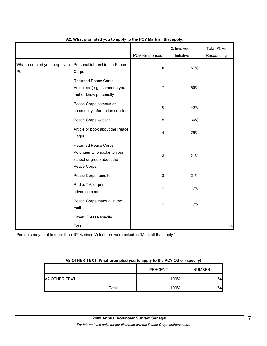|                                     |                                                                                                        | PCV Responses | % Involved in<br>Initiative | <b>Total PCVs</b><br>Responding |
|-------------------------------------|--------------------------------------------------------------------------------------------------------|---------------|-----------------------------|---------------------------------|
| What prompted you to apply to<br>PC | Personal interest in the Peace<br>Corps                                                                | 8             | 57%                         |                                 |
|                                     | <b>Returned Peace Corps</b><br>Volunteer (e.g., someone you<br>met or know personally                  | 7             | 50%                         |                                 |
|                                     | Peace Corps campus or<br>community information session                                                 | 6             | 43%                         |                                 |
|                                     | Peace Corps website                                                                                    | 5             | 36%                         |                                 |
|                                     | Article or book about the Peace<br>Corps                                                               | 4             | 29%                         |                                 |
|                                     | <b>Returned Peace Corps</b><br>Volunteer who spoke to your<br>school or group about the<br>Peace Corps | 3             | 21%                         |                                 |
|                                     | Peace Corps recruiter                                                                                  | 3             | 21%                         |                                 |
|                                     | Radio, TV, or print<br>advertisement                                                                   |               | 7%                          |                                 |
|                                     | Peace Corps material in the<br>mail                                                                    |               | 7%                          |                                 |
|                                     | Other: Please specify                                                                                  |               |                             |                                 |
|                                     | Total                                                                                                  |               |                             | 14                              |

# **A2. What prompted you to apply to the PC? Mark all that apply.**

Percents may total to more than 100% since Volunteers were asked to "Mark all that apply."

# **A2.OTHER.TEXT: What prompted you to apply to the PC? Other (specify)**

|                       |       | <b>PERCENT</b> | <b>NUMBER</b> |
|-----------------------|-------|----------------|---------------|
| <b>JA2.OTHER.TEXT</b> |       | 100%           | 64            |
|                       | Total | 100%           | 64            |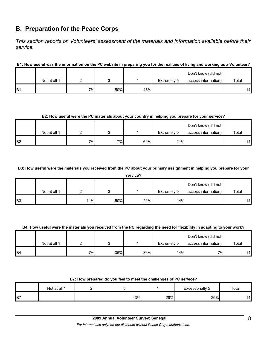# **B. Preparation for the Peace Corps**

*This section reports on Volunteers' assessment of the materials and information available before their service.* 

# **B1: How useful was the information on the PC website in preparing you for the realities of living and working as a Volunteer?**

|                |              |    |     |     |             | Don't know (did not |       |
|----------------|--------------|----|-----|-----|-------------|---------------------|-------|
|                | Not at all 1 |    |     |     | Extremely 5 | access information) | Total |
| B <sub>1</sub> |              | 7% | 50% | 43% |             |                     | 14    |

# **B2: How useful were the PC materials about your country in helping you prepare for your service?**

|                |              |                 |    |     |             | Don't know (did not |       |
|----------------|--------------|-----------------|----|-----|-------------|---------------------|-------|
|                | Not at all 1 |                 |    |     | Extremely 5 | access information) | Total |
| B <sub>2</sub> |              | 7% <sub>I</sub> | 7% | 64% | 21%         |                     | 14    |

# **B3: How useful were the materials you received from the PC about your primary assignment in helping you prepare for your**

**service?**

|            | Not at all 1 |     |     |     | Extremely 5 | Don't know (did not<br>access information) | Total |
|------------|--------------|-----|-----|-----|-------------|--------------------------------------------|-------|
| <b>B</b> 3 |              | 14% | 50% | 21% | 14%         |                                            | 14    |

# **B4: How useful were the materials you received from the PC regarding the need for flexibility in adapting to your work?**

|                |              |                 |     |     |             | Don't know (did not |       |
|----------------|--------------|-----------------|-----|-----|-------------|---------------------|-------|
|                | Not at all 1 |                 |     | ▵   | Extremely 5 | access information) | Total |
| B <sub>4</sub> |              | 7% <sub>)</sub> | 36% | 36% | 14% I       | 7%                  | 14    |

| B7: How prepared do you feel to meet the challenges of PC service? |  |  |  |                 |  |  |
|--------------------------------------------------------------------|--|--|--|-----------------|--|--|
| Not at all 1                                                       |  |  |  | Exceptionally 5 |  |  |

|    | Not at all |     |     | ↑ntionally ວ<br>CXC | Total |
|----|------------|-----|-----|---------------------|-------|
| B7 |            | 43% | 29% | 29%                 | ہ ،   |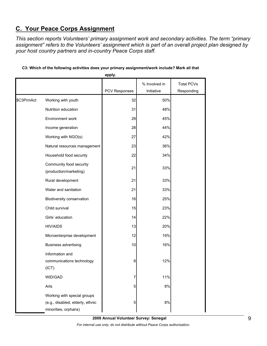# **C. Your Peace Corps Assignment**

*This section reports Volunteers' primary assignment work and secondary activities. The term "primary assignment" refers to the Volunteers' assignment which is part of an overall project plan designed by your host country partners and in-country Peace Corps staff.* 

|            |                                                                                         | apply.        |               |                   |
|------------|-----------------------------------------------------------------------------------------|---------------|---------------|-------------------|
|            |                                                                                         |               | % Involved in | <b>Total PCVs</b> |
|            |                                                                                         | PCV Responses | Initiative    | Responding        |
| \$C3PrmAct | Working with youth                                                                      | 32            | 50%           |                   |
|            | Nutrition education                                                                     | 31            | 48%           |                   |
|            | Environment work                                                                        | 29            | 45%           |                   |
|            | Income generation                                                                       | 28            | 44%           |                   |
|            | Working with NGO(s)                                                                     | 27            | 42%           |                   |
|            | Natural resources management                                                            | 23            | 36%           |                   |
|            | Household food security                                                                 | 22            | 34%           |                   |
|            | Community food security<br>(production/marketing)                                       | 21            | 33%           |                   |
|            | Rural development                                                                       | 21            | 33%           |                   |
|            | Water and sanitation                                                                    | 21            | 33%           |                   |
|            | Biodiversity conservation                                                               | 16            | 25%           |                   |
|            | Child survival                                                                          | 15            | 23%           |                   |
|            | Girls' education                                                                        | 14            | 22%           |                   |
|            | <b>HIV/AIDS</b>                                                                         | 13            | 20%           |                   |
|            | Microenterprise development                                                             | 12            | 19%           |                   |
|            | <b>Business advertising</b>                                                             | 10            | 16%           |                   |
|            | Information and<br>communications technology<br>(ICT)                                   | 8             | 12%           |                   |
|            | WID/GAD                                                                                 | 7             | 11%           |                   |
|            | Arts                                                                                    | 5             | $8%$          |                   |
|            | Working with special groups<br>(e.g., disabled, elderly, ethnic<br>minorities, orphans) | 5             | 8%            |                   |

## **C3: Which of the following activities does your primary assignment/work include? Mark all that**

**2009 Annual Volunteer Survey: Senegal** 

*For internal use only; do not distribute without Peace Corps authorization.*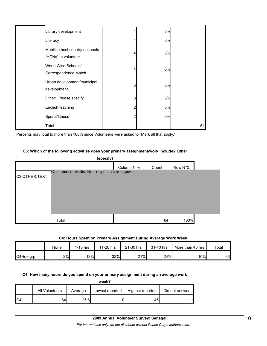| Library development                                    |   | 6% |    |
|--------------------------------------------------------|---|----|----|
| Literacy                                               |   | 6% |    |
| Mobilize host country nationals<br>(HCNs) to volunteer |   | 6% |    |
| World Wise Schools/<br>Correspondence Match            |   | 6% |    |
| Urban development/municipal<br>development             | 3 | 5% |    |
| Other: Please specify                                  | 3 | 5% |    |
| English teaching                                       |   | 3% |    |
| Sports/fitness                                         |   | 3% |    |
| Total                                                  |   |    | 64 |

Percents may total to more than 100% since Volunteers were asked to "Mark all that apply."

#### **C3: Which of the following activities does your primary assignment/work include? Other**

|               | (specify)                                      |            |       |         |  |
|---------------|------------------------------------------------|------------|-------|---------|--|
|               | Open-ended results. Non-responsive to request. | Column N % | Count | Row N % |  |
| C3.OTHER.TEXT |                                                |            |       |         |  |
|               |                                                |            |       |         |  |
|               |                                                |            |       |         |  |
|               |                                                |            |       |         |  |
|               |                                                |            |       |         |  |
|               | Total                                          |            | 64    | 100%    |  |

# **C4: Hours Spent on Primary Assignment During Average Work Week**

|           | None | 1-10 hrs | 11-20 hrs | 21-30 hrs | 31-40 hrs | More than 40 hrs | Total |
|-----------|------|----------|-----------|-----------|-----------|------------------|-------|
| C4Hrs6grp | 2%   | 13%      | 32%       | $21\%$    | 24%       | 10%              | 63    |

#### **C4: How many hours do you spend on your primary assignment during an average work**

| week?          |         |                 |                  |                |  |  |
|----------------|---------|-----------------|------------------|----------------|--|--|
| All Volunteers | Average | Lowest reported | Highest reported | Did not answer |  |  |
| 64             | 25.6    |                 | 45               |                |  |  |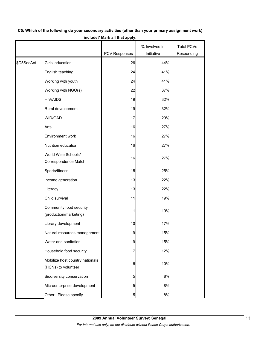|            |                                                        |                | % Involved in | <b>Total PCVs</b> |
|------------|--------------------------------------------------------|----------------|---------------|-------------------|
|            |                                                        | PCV Responses  | Initiative    | Responding        |
| \$C5SecAct | Girls' education                                       | 26             | 44%           |                   |
|            | English teaching                                       | 24             | 41%           |                   |
|            | Working with youth                                     | 24             | 41%           |                   |
|            | Working with NGO(s)                                    | 22             | 37%           |                   |
|            | <b>HIV/AIDS</b>                                        | 19             | 32%           |                   |
|            | Rural development                                      | 19             | 32%           |                   |
|            | WID/GAD                                                | 17             | 29%           |                   |
|            | Arts                                                   | 16             | 27%           |                   |
|            | Environment work                                       | 16             | 27%           |                   |
|            | Nutrition education                                    | 16             | 27%           |                   |
|            | World Wise Schools/<br>Correspondence Match            | 16             | 27%           |                   |
|            | Sports/fitness                                         | 15             | 25%           |                   |
|            | Income generation                                      | 13             | 22%           |                   |
|            | Literacy                                               | 13             | 22%           |                   |
|            | Child survival                                         | 11             | 19%           |                   |
|            | Community food security<br>(production/marketing)      | 11             | 19%           |                   |
|            | Library development                                    | 10             | 17%           |                   |
|            | Natural resources management                           | 9              | 15%           |                   |
|            | Water and sanitation                                   | 9              | 15%           |                   |
|            | Household food security                                | 7              | 12%           |                   |
|            | Mobilize host country nationals<br>(HCNs) to volunteer | 6              | 10%           |                   |
|            | Biodiversity conservation                              | 5              | 8%            |                   |
|            | Microenterprise development                            | 5              | 8%            |                   |
|            | Other: Please specify                                  | $\overline{5}$ | 8%            |                   |

# **C5: Which of the following do your secondary activities (other than your primary assignment work) include? Mark all that apply.**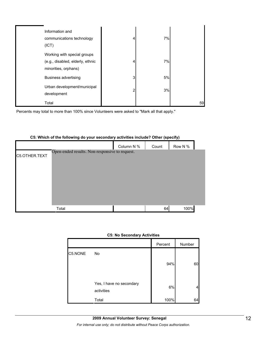| Information and<br>communications technology<br>(ICT)                                   | 4 | 7% |    |
|-----------------------------------------------------------------------------------------|---|----|----|
| Working with special groups<br>(e.g., disabled, elderly, ethnic<br>minorities, orphans) | 4 | 7% |    |
| <b>Business advertising</b>                                                             | 3 | 5% |    |
| Urban development/municipal<br>development                                              | 2 | 3% |    |
| Total                                                                                   |   |    | 59 |

Percents may total to more than 100% since Volunteers were asked to "Mark all that apply."

# Column N % Count Row N % C5.OTHER.TEXT Total 64 100% Open-ended results. Non-responsive to request.

# **C5: Which of the following do your secondary activities include? Other (specify)**

|  | <b>C5: No Secondary Activities</b> |  |
|--|------------------------------------|--|
|--|------------------------------------|--|

|         |                                        | Percent | Number |
|---------|----------------------------------------|---------|--------|
| C5.NONE | No                                     |         |        |
|         |                                        | 94%     | 60     |
|         | Yes, I have no secondary<br>activities | 6%      |        |
|         | Total                                  | 100%    | 64     |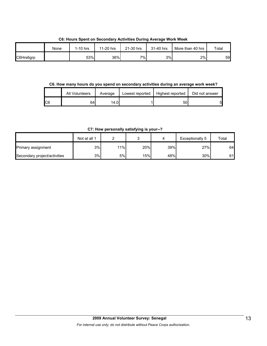**C6: Hours Spent on Secondary Activities During Average Work Week**

|           | None | $1-10$ hrs | 11-20 hrs | 21-30 hrs | 31-40 hrs | More than 40 hrs | Total |
|-----------|------|------------|-----------|-----------|-----------|------------------|-------|
| C6Hrs6grp |      | 53%        | 36%       | $7\%$     | 3%        | 2%               | 59    |

**C6. How many hours do you spend on secondary activities during an average work week?**

|     | All Volunteers | Average | Lowest reported | Highest reported | Did not answer |
|-----|----------------|---------|-----------------|------------------|----------------|
| IC6 | 64             | 14.01   |                 | 501              |                |

**C7: How personally satisfying is your--?**

|                              | Not at all 1 |     |     |     | Exceptionally 5 | Total |
|------------------------------|--------------|-----|-----|-----|-----------------|-------|
| Primary assignment           | 3%           | 11% | 20% | 39% | 27%             | 64    |
| Secondary project/activities | 3%           | 5%l | 15% | 48% | 30%             | 61    |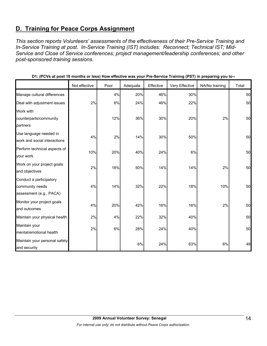# **D. Training for Peace Corps Assignment**

*This section reports Volunteers' assessments of the effectiveness of their Pre-Service Training and In-Service Training at post. In-Service Training (IST) includes: Reconnect; Technical IST; Mid-Service and Close of Service conferences; project management/leadership conferences; and other post-sponsored training sessions.* 

|                                                                       | Not effective | Poor | Adequate | Effective | Very Effective | NA/No training | Total |
|-----------------------------------------------------------------------|---------------|------|----------|-----------|----------------|----------------|-------|
| Manage cultural differences                                           |               | 4%   | 20%      | 46%       | 30%            |                | 50    |
| Deal with adjustment issues                                           | 2%            | 6%   | 24%      | 46%       | 22%            |                | 50    |
| Work with                                                             |               |      |          |           |                |                |       |
| counterparts/community                                                |               | 12%  | 36%      | 30%       | 20%            | 2%             | 50    |
| partners                                                              |               |      |          |           |                |                |       |
| Use language needed in<br>work and social interactions                | 4%            | 2%   | 14%      | 30%       | 50%            |                | 50    |
| Perform technical aspects of<br>your work                             | 10%           | 20%  | 40%      | 24%       | 6%             |                | 50    |
| Work on your project goals<br>and objectives                          | 2%            | 18%  | 50%      | 14%       | 14%            | 2%             | 50    |
| Conduct a participatory<br>community needs<br>assessment (e.g., PACA) | 4%            | 14%  | 32%      | 22%       | 18%            | 10%            | 50    |
| Monitor your project goals<br>and outcomes                            | 4%            | 20%  | 42%      | 16%       | 16%            | 2%             | 50    |
| Maintain your physical health                                         | 2%            | 4%   | 22%      | 32%       | 40%            |                | 50    |
| Maintain your<br>mental/emotional health                              | 2%            | 6%   | 28%      | 24%       | 40%            |                | 50    |
| Maintain your personal safety<br>and security                         |               |      | 6%       | 24%       | 63%            | 6%             | 49    |

**D1: (PCVs at post 18 months or less) How effective was your Pre-Service Training (PST) in preparing you to--**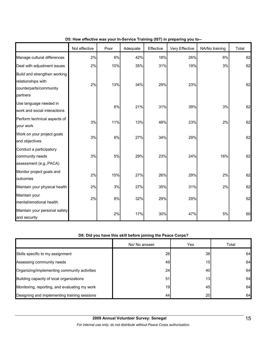|                                                                                          | Not effective | Poor | Adequate | Effective | Very Effective | NA/No training | Total |
|------------------------------------------------------------------------------------------|---------------|------|----------|-----------|----------------|----------------|-------|
| Manage cultural differences                                                              | 2%            | 6%   | 42%      | 18%       | 26%            | 6%             | 62    |
| Deal with adjustment issues                                                              | 2%            | 10%  | 35%      | 31%       | 19%            | 3%             | 62    |
| Build and strengthen working<br>relationships with<br>counterparts/community<br>partners | 2%            | 13%  | 34%      | 29%       | 23%            |                | 62    |
| Use language needed in<br>work and social interactions                                   |               | 6%   | 21%      | 31%       | 39%            | 3%             | 62    |
| Perform technical aspects of<br>your work                                                | 3%            | 11%  | 13%      | 48%       | 23%            | 2%             | 62    |
| Work on your project goals<br>and objectives                                             | 3%            | 6%   | 27%      | 34%       | 29%            |                | 62    |
| Conduct a participatory<br>community needs<br>assessment (e.g., PACA)                    | $3%$          | 5%   | 29%      | 23%       | 24%            | 16%            | 62    |
| Monitor project goals and<br>outcomes                                                    | 2%            | 15%  | 27%      | 26%       | 29%            | 2%             | 62    |
| Maintain your physical health                                                            | 2%            | 3%   | 27%      | 35%       | 31%            | 2%             | 62    |
| Maintain your<br>mental/emotional health                                                 | 2%            | 8%   | 32%      | 29%       | 29%            |                | 62    |
| Maintain your personal safety<br>and security                                            |               | 2%   | 17%      | 30%       | 47%            | 5%             | 60    |

# **D5: How effective was your In-Service Training (IST) in preparing you to--**

# **D8: Did you have this skill before joining the Peace Corps?**

|                                               | No/ No answer | Yes             | Total |
|-----------------------------------------------|---------------|-----------------|-------|
| Skills specific to my assignment              | 26            | 38I             | 64    |
| Assessing community needs                     | 49            | 15              | 64    |
| Organizing/implementing community activities  | 24            | 40              | 64    |
| Building capacity of local organizations      | 51            | 13              | 64    |
| Monitoring, reporting, and evaluating my work | 19            | 45              | 64    |
| Designing and implementing training sessions  | 44            | 20 <sub>l</sub> | 64    |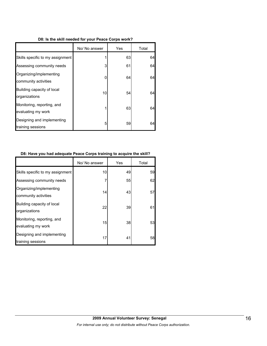#### **D8: Is the skill needed for your Peace Corps work?**

|                                                  | No/ No answer | Yes | Total |
|--------------------------------------------------|---------------|-----|-------|
| Skills specific to my assignment                 |               | 63  | 64    |
| Assessing community needs                        | 3             | 61  | 64    |
| Organizing/implementing<br>community activities  | 0             | 64  | 64    |
| Building capacity of local<br>organizations      | 10            | 54  | 64    |
| Monitoring, reporting, and<br>evaluating my work | 1             | 63  | 64    |
| Designing and implementing<br>training sessions  | 5             | 59  | 64    |

#### **D8: Have you had adequate Peace Corps training to acquire the skill?**

|                                                  | No/ No answer | Yes | Total |
|--------------------------------------------------|---------------|-----|-------|
| Skills specific to my assignment                 | 10            | 49  | 59    |
| Assessing community needs                        | 7             | 55  | 62    |
| Organizing/implementing<br>community activities  | 14            | 43  | 57    |
| Building capacity of local<br>organizations      | 22            | 39  | 61    |
| Monitoring, reporting, and<br>evaluating my work | 15            | 38  | 53    |
| Designing and implementing<br>training sessions  | 17            | 41  | 58    |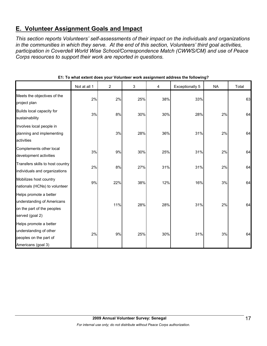# **E. Volunteer Assignment Goals and Impact**

*This section reports Volunteers' self-assessments of their impact on the individuals and organizations in the communities in which they serve. At the end of this section, Volunteers' third goal activities, participation in Coverdell World Wise School/Correspondence Match (CWWS/CM) and use of Peace Corps resources to support their work are reported in questions.* 

|                                                                                                       | Not at all 1 | $\overline{2}$ | 3   | 4   | <b>Exceptionally 5</b> | <b>NA</b> | Total |
|-------------------------------------------------------------------------------------------------------|--------------|----------------|-----|-----|------------------------|-----------|-------|
| Meets the objectives of the<br>project plan                                                           | 2%           | 2%             | 25% | 38% | 33%                    |           | 63    |
| Builds local capacity for<br>sustainability                                                           | 3%           | 8%             | 30% | 30% | 28%                    | 2%        | 64    |
| Involves local people in<br>planning and implementing<br>activities                                   |              | 3%             | 28% | 36% | 31%                    | 2%        | 64    |
| Complements other local<br>development activities                                                     | 3%           | 9%             | 30% | 25% | 31%                    | 2%        | 64    |
| Transfers skills to host country<br>individuals and organizations                                     | 2%           | 8%             | 27% | 31% | 31%                    | 2%        | 64    |
| Mobilizes host country<br>nationals (HCNs) to volunteer                                               | 9%           | 22%            | 38% | 12% | 16%                    | 3%        | 64    |
| Helps promote a better<br>understanding of Americans<br>on the part of the peoples<br>served (goal 2) |              | 11%            | 28% | 28% | 31%                    | 2%        | 64    |
| Helps promote a better<br>understanding of other<br>peoples on the part of<br>Americans (goal 3)      | 2%           | 9%             | 25% | 30% | 31%                    | 3%        | 64    |

**E1: To what extent does your Volunteer work assignment address the following?**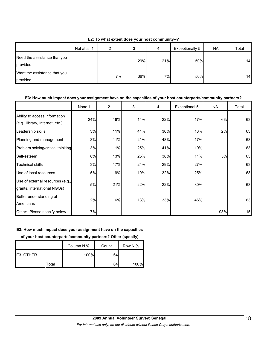**E2: To what extent does your host community--?**

|                                          | Not at all 1 | ົ  | J   | 4   | Exceptionally 5 | <b>NA</b> | Total |
|------------------------------------------|--------------|----|-----|-----|-----------------|-----------|-------|
| Need the assistance that you<br>provided |              |    | 29% | 21% | 50%             |           | 14    |
| Want the assistance that you<br>provided |              | 7% | 36% | 7%  | 50%             |           | 14    |

#### **E3: How much impact does your assignment have on the capacities of your host counterparts/community partners?**

|                                                                  | None 1 | $\overline{2}$ | 3   | 4   | Exceptional 5 | NA  | Total |
|------------------------------------------------------------------|--------|----------------|-----|-----|---------------|-----|-------|
| Ability to access information<br>(e.g., library, Internet, etc.) | 24%    | 16%            | 14% | 22% | 17%           | 6%  | 63    |
| Leadership skills                                                | 3%     | 11%            | 41% | 30% | 13%           | 2%  | 63    |
| Planning and management                                          | 3%     | 11%            | 21% | 48% | 17%           |     | 63    |
| Problem solving/critical thinking                                | 3%     | 11%            | 25% | 41% | 19%           |     | 63    |
| Self-esteem                                                      | 8%     | 13%            | 25% | 38% | 11%           | 5%  | 63    |
| <b>Technical skills</b>                                          | 3%     | 17%            | 24% | 29% | 27%           |     | 63    |
| Use of local resources                                           | 5%     | 19%            | 19% | 32% | 25%           |     | 63    |
| Use of external resources (e.g.,<br>grants, international NGOs)  | 5%     | 21%            | 22% | 22% | 30%           |     | 63    |
| Better understanding of<br>Americans                             | 2%     | 6%             | 13% | 33% | 46%           |     | 63    |
| Other: Please specify below                                      | 7%     |                |     |     |               | 93% | 15    |

# **E3: How much impact does your assignment have on the capacities**

# **of your host counterparts/community partners? Other (specify)**

|          | Column N % | Count | Row N % |
|----------|------------|-------|---------|
| E3 OTHER | 100%       | 64    |         |
| Total    |            | 64    | 100%    |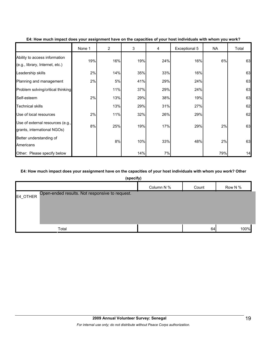|                                                                  | None 1 | 2   | 3   | 4   | Exceptional 5 | NA  | Total |
|------------------------------------------------------------------|--------|-----|-----|-----|---------------|-----|-------|
| Ability to access information<br>(e.g., library, Internet, etc.) | 19%    | 16% | 19% | 24% | 16%           | 6%  | 63    |
| Leadership skills                                                | 2%     | 14% | 35% | 33% | 16%           |     | 63    |
| Planning and management                                          | 2%     | 5%  | 41% | 29% | 24%           |     | 63    |
| Problem solving/critical thinking                                |        | 11% | 37% | 29% | 24%           |     | 63    |
| Self-esteem                                                      | 2%     | 13% | 29% | 38% | 19%           |     | 63    |
| <b>Technical skills</b>                                          |        | 13% | 29% | 31% | 27%           |     | 62    |
| Use of local resources                                           | 2%     | 11% | 32% | 26% | 29%           |     | 62    |
| Use of external resources (e.g.,<br>grants, international NGOs)  | 8%     | 25% | 19% | 17% | 29%           | 2%  | 63    |
| Better understanding of<br>Americans                             |        | 8%  | 10% | 33% | 48%           | 2%  | 63    |
| Other: Please specify below                                      |        |     | 14% | 7%  |               | 79% | 14    |

#### **E4: How much impact does your assignment have on the capacities of your host individuals with whom you work?**

# **E4: How much impact does your assignment have on the capacities of your host individuals with whom you work? Other**

| (specify)                                                  |            |       |         |  |  |  |  |  |
|------------------------------------------------------------|------------|-------|---------|--|--|--|--|--|
|                                                            | Column N % | Count | Row N % |  |  |  |  |  |
| Open-ended results. Not responsive to request.<br>E4_OTHER |            |       |         |  |  |  |  |  |
| Total                                                      |            | 64    | 100%    |  |  |  |  |  |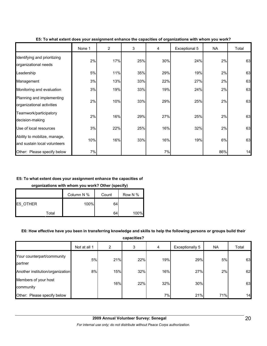|                                                              | None 1 | $\overline{2}$ | 3   | 4   | Exceptional 5 | <b>NA</b> | Total |
|--------------------------------------------------------------|--------|----------------|-----|-----|---------------|-----------|-------|
| Identifying and prioritizing<br>organizational needs         | 2%     | 17%            | 25% | 30% | 24%           | 2%        | 63    |
| Leadership                                                   | 5%     | 11%            | 35% | 29% | 19%           | 2%        | 63    |
| Management                                                   | 3%     | 13%            | 33% | 22% | 27%           | 2%        | 63    |
| Monitoring and evaluation                                    | 3%     | 19%            | 33% | 19% | 24%           | 2%        | 63    |
| Planning and implementing<br>organizational activities       | 2%     | 10%            | 33% | 29% | 25%           | 2%        | 63    |
| Teamwork/participatory<br>decision-making                    | 2%     | 16%            | 29% | 27% | 25%           | 2%        | 63    |
| Use of local resources                                       | 3%     | 22%            | 25% | 16% | 32%           | 2%        | 63    |
| Ability to mobilize, manage,<br>and sustain local volunteers | 10%    | 16%            | 33% | 16% | 19%           | 6%        | 63    |
| Other: Please specify below                                  | 7%     |                |     | 7%  |               | 86%       | 14    |

#### **E5: To what extent does your assignment enhance the capacities of organizations with whom you work?**

# **E5: To what extent does your assignment enhance the capacities of**

**organizations with whom you work? Other (specify)**

|          |       | Column N % | Count | Row N % |
|----------|-------|------------|-------|---------|
| E5 OTHER |       | 100%       | 64    |         |
|          | Total |            | 64    | 100%    |

# **E6: How effective have you been in transferring knowledge and skills to help the following persons or groups build their**

**capacities?**

|                                       | Not at all 1 | 2   | 3   | 4   | Exceptionally 5 | <b>NA</b> | Total |
|---------------------------------------|--------------|-----|-----|-----|-----------------|-----------|-------|
| Your counterpart/community<br>partner | 5%           | 21% | 22% | 19% | 29%             | 5%        | 63    |
| Another institution/organization      | 8%           | 15% | 32% | 16% | 27%             | 2%        | 62    |
| Members of your host<br>community     |              | 16% | 22% | 32% | 30%             |           | 63    |
| Other: Please specify below           |              |     |     | 7%  | 21%             | 71%       | 14    |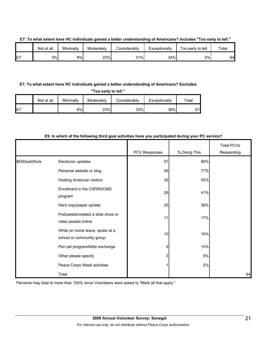|     | Not at all | Minimally | Moderately | <b>Considerably</b> | Exceptionally | Γοο early to tell | Total |
|-----|------------|-----------|------------|---------------------|---------------|-------------------|-------|
| IE7 | 0%l        | 8%        | 22%        | 31%                 | 34%           | 5%                | 64    |

### **E7: To what extent have HC individuals gained a better understanding of Americans? Includes "Too early to tell."**

# **E7: To what extent have HC individuals gained a better understanding of Americans? Excludes**

**"Too early to tell."**

|     | Not at all | Minimally | Moderately | Considerably | Exceptionally | ™otal |
|-----|------------|-----------|------------|--------------|---------------|-------|
| IE7 |            | 8%        | 23%        | 33%          | 36%           | 61l   |

### **E9. In which of the following third goal activities have you participated during your PC service?**

|               |                                                              | PCV Responses | % Doing This | <b>Total PCVs</b><br>Responding |
|---------------|--------------------------------------------------------------|---------------|--------------|---------------------------------|
| \$E9Goal3Acts | Electronic updates                                           | 57            | 89%          |                                 |
|               | Personal website or blog                                     | 49            | 77%          |                                 |
|               | Hosting American visitors                                    | 35            | 55%          |                                 |
|               | Enrollment in the CWWS/CMS<br>program                        | 26            | 41%          |                                 |
|               | Hard copy/paper update                                       | 25            | 39%          |                                 |
|               | Podcasted/created a slide show or<br>video posted online     | 11            | 17%          |                                 |
|               | While on home leave, spoke at a<br>school or community group | 10            | 16%          |                                 |
|               | Pen pal program/letter exchange                              | 9             | 14%          |                                 |
|               | Other please specify                                         | 3             | 5%           |                                 |
|               | Peace Corps Week activities                                  |               | 2%           |                                 |
|               | Total                                                        |               |              | 64                              |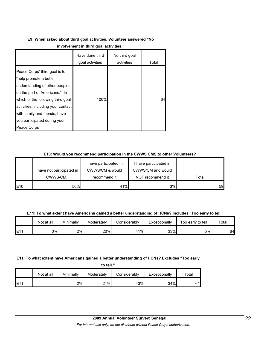# **E9: When asked about third goal activities, Volunteer answered "No**

|                                                                                                                                                                                                                                                                                       | Have done third<br>goal activities | No third goal<br>activities | Total |
|---------------------------------------------------------------------------------------------------------------------------------------------------------------------------------------------------------------------------------------------------------------------------------------|------------------------------------|-----------------------------|-------|
| Peace Corps' third goal is to<br>"help promote a better<br>understanding of other peoples<br>on the part of Americans." In<br>which of the following third goal<br>activities, including your contact<br>with family and friends, have<br>you participated during your<br>Peace Corps | 100%                               |                             | 64    |

# **E10: Would you recommend participation in the CWWS CMS to other Volunteers?**

|     |                            | I have participated in | I have participated in |       |
|-----|----------------------------|------------------------|------------------------|-------|
|     | I have not participated in | CWWS/CM & would        | CWWS/CM and would      |       |
|     | CWWS/CM.                   | recommend it           | NOT recommend it       | Total |
| E10 | 56%                        | 41%                    | 3%                     | 59    |

**E11: To what extent have Americans gained a better understanding of HCNs? Includes "Too early to tell."**

|     | Not at all | Minimally | Moderately | Considerably | Exceptionally | Too early to tell | Total |
|-----|------------|-----------|------------|--------------|---------------|-------------------|-------|
| E11 | 0%         | 2%        | 20%        | $1\%$        | 33%           | 5%                | 64    |

# **E11: To what extent have Americans gained a better understanding of HCNs? Excludes "Too early**

**to tell."**

|             | Not at all | Minimally | Moderately | Considerably | Exceptionally | $\tau$ otal |
|-------------|------------|-----------|------------|--------------|---------------|-------------|
| <b>IE11</b> |            | 2%        | $21\%$     | 43%          | 34%           | 61l         |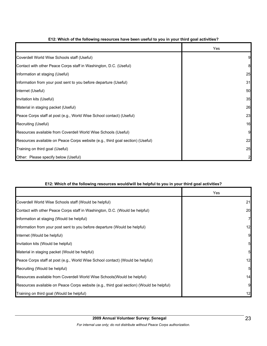|                                                                                | Yes |
|--------------------------------------------------------------------------------|-----|
| Coverdell World Wise Schools staff (Useful)                                    | 9   |
| Contact with other Peace Corps staff in Washington, D.C. (Useful)              | 8   |
| Information at staging (Useful)                                                | 25  |
| Information from your post sent to you before departure (Useful)               | 31  |
| Internet (Useful)                                                              | 50  |
| Invitation kits (Useful)                                                       | 35  |
| Material in staging packet (Useful)                                            | 26  |
| Peace Corps staff at post (e.g., World Wise School contact) (Useful)           | 23  |
| Recruiting (Useful)                                                            | 16  |
| Resources available from Coverdell World Wise Schools (Useful)                 | 9   |
| Resources available on Peace Corps website (e.g., third goal section) (Useful) | 22  |
| Training on third goal (Useful)                                                | 25  |
| Other: Please specify below (Useful)                                           |     |

# **E12: Which of the following resources have been useful to you in your third goal activities?**

# **E12: Which of the following resources would/will be helpful to you in your third goal activities?**

|                                                                                          | Yes             |
|------------------------------------------------------------------------------------------|-----------------|
| Coverdell World Wise Schools staff (Would be helpful)                                    | 21              |
| Contact with other Peace Corps staff in Washington, D.C. (Would be helpful)              | 20              |
| Information at staging (Would be helpful)                                                | $\overline{7}$  |
| Information from your post sent to you before departure (Would be helpful)               | 12              |
| Internet (Would be helpful)                                                              | 9               |
| Invitation kits (Would be helpful)                                                       | $5\overline{a}$ |
| Material in staging packet (Would be helpful)                                            | 5 <sub>l</sub>  |
| Peace Corps staff at post (e.g., World Wise School contact) (Would be helpful)           | 12              |
| Recruiting (Would be helpful)                                                            | 5 <sub>l</sub>  |
| Resources available from Coverdell World Wise Schools (Would be helpful)                 | 14              |
| Resources available on Peace Corps website (e.g., third goal section) (Would be helpful) | 9               |
| Training on third goal (Would be helpful)                                                | 12              |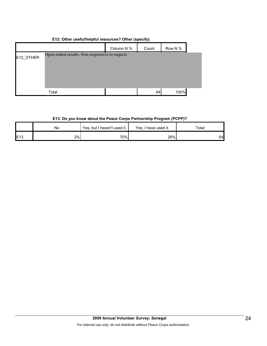# **E12: Other useful/helpful resources? Other (specify)**

|           |                                                | Column N % | Count | Row N % |  |
|-----------|------------------------------------------------|------------|-------|---------|--|
| E12_OTHER | Open-ended results. Non-responsive to request. |            |       |         |  |
|           |                                                |            |       |         |  |
|           | Total                                          |            | 64    | 100%    |  |

# **E13: Do you know about the Peace Corps Partnership Program (PCPP)?**

|             | Νo | Yes, but I haven't used it. | Yes, I have used it. | Total |  |
|-------------|----|-----------------------------|----------------------|-------|--|
| <b>IE13</b> | 2% | 70%                         | 28%                  | 64    |  |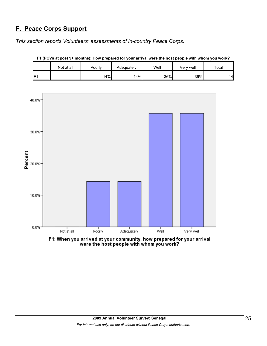# **F. Peace Corps Support**

*This section reports Volunteers' assessments of in-country Peace Corps.* 

|     | Not at all | Poorlv | Adequately | Well | Verv well | Total |
|-----|------------|--------|------------|------|-----------|-------|
| IF1 |            | 14%    | 14%        | 36%  | 36%       | '4    |

**F1 (PCVs at post 9+ months): How prepared for your arrival were the host people with whom you work?**





F1: When you arrived at your community, how prepared for your arrival were the host people with whom you work?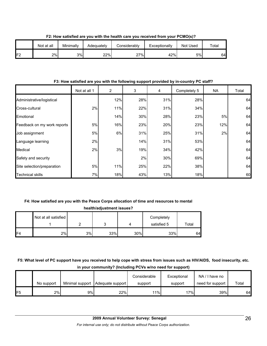|     | Not at all | Minimally | Adeguatelv | ا onsiderablv | Exceptionally | Not Used | $\tau$ otal |
|-----|------------|-----------|------------|---------------|---------------|----------|-------------|
| IF2 | 2%         | 3%        | 22%        | 27%           | 42%           | 5%       | 64          |

**F2: How satisfied are you with the health care you received from your PCMO(s)?**

# **F3: How satisfied are you with the following support provided by in-country PC staff?**

|                             | Not at all 1 | 2   | 3   | 4   | Completely 5 | NA  | Total |
|-----------------------------|--------------|-----|-----|-----|--------------|-----|-------|
| Administrative/logistical   |              | 12% | 28% | 31% | 28%          |     | 64    |
| Cross-cultural              | 2%           | 11% | 22% | 31% | 34%          |     | 64    |
| Emotional                   |              | 14% | 30% | 28% | 23%          | 5%  | 64    |
| Feedback on my work reports | 5%           | 16% | 23% | 20% | 23%          | 12% | 64    |
| Job assignment              | 5%           | 6%  | 31% | 25% | 31%          | 2%  | 64    |
| Language learning           | 2%           |     | 14% | 31% | 53%          |     | 64    |
| Medical                     | 2%           | 3%  | 19% | 34% | 42%          |     | 64    |
| Safety and security         |              |     | 2%  | 30% | 69%          |     | 64    |
| Site selection/preparation  | 5%           | 11% | 25% | 22% | 38%          |     | 64    |
| <b>Technical skills</b>     | 7%           | 18% | 43% | 13% | 18%          |     | 60    |

# **F4: How satisfied are you with the Peace Corps allocation of time and resources to mental**

|                | health/adjustment issues? |    |     |     |                           |       |  |  |  |  |  |  |  |
|----------------|---------------------------|----|-----|-----|---------------------------|-------|--|--|--|--|--|--|--|
|                | Not at all satisfied      | ົ  |     |     | Completely<br>satisfied 5 | Total |  |  |  |  |  |  |  |
| F <sub>4</sub> | 2%                        | 3% | 33% | 30% | 33%                       | 64    |  |  |  |  |  |  |  |

**F5: What level of PC support have you received to help cope with stress from issues such as HIV/AIDS, food insecurity, etc. in your community? (Including PCVs w/no need for support)**

|                 | No support |    | Minimal support   Adequate support | Considerable<br>support | Exceptional<br>support | NA/I have no<br>need for support | Total |
|-----------------|------------|----|------------------------------------|-------------------------|------------------------|----------------------------------|-------|
| IF <sub>5</sub> | 2%         | 9% | 22%                                | 11%                     | 17%l                   | 39%                              | 64    |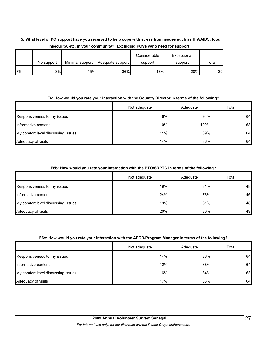# **F5: What level of PC support have you received to help cope with stress from issues such as HIV/AIDS, food insecurity, etc. in your community? (Excluding PCVs w/no need for support)**

|                 | No support | Minimal support | Adequate support | Considerable<br>support | Exceptional<br>support | Total |
|-----------------|------------|-----------------|------------------|-------------------------|------------------------|-------|
| IF <sub>5</sub> | 3%         | 15%             | 36%              | 18%                     | 28%                    | 39    |

# **F6: How would you rate your interaction with the Country Director in terms of the following?**

|                                    | Not adequate | Adequate | Total |
|------------------------------------|--------------|----------|-------|
| Responsiveness to my issues        | 6%           | 94%      | 64    |
| Informative content                | $0\%$        | 100%     | 63    |
| My comfort level discussing issues | 11%          | 89%      | 64    |
| Adequacy of visits                 | 14%          | 86%      | 64    |

# **F6b: How would you rate your interaction with the PTO/SRPTC in terms of the following?**

|                                    | Not adequate | Adequate | Total |
|------------------------------------|--------------|----------|-------|
| Responsiveness to my issues        | 19%          | 81%      | 48    |
| Informative content                | 24%          | 76%      | 46    |
| My comfort level discussing issues | 19%          | 81%      | 48    |
| Adequacy of visits                 | 20%          | 80%      | 49    |

# **F6c: How would you rate your interaction with the APCD/Program Manager in terms of the following?**

|                                    | Not adequate | Adequate | Total |
|------------------------------------|--------------|----------|-------|
| Responsiveness to my issues        | 14%          | 86%      | 64    |
| Informative content                | 12%          | 88%      | 64    |
| My comfort level discussing issues | 16%          | 84%      | 63    |
| Adequacy of visits                 | 17%          | 83%      | 64    |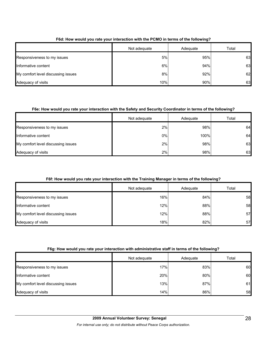|                                    | Not adequate | Adequate | Total |
|------------------------------------|--------------|----------|-------|
| Responsiveness to my issues        | 5%           | 95%      | 63    |
| Informative content                | 6%           | 94%      | 63    |
| My comfort level discussing issues | 8%           | 92%      | 62    |
| Adequacy of visits                 | 10%          | 90%      | 63    |

# **F6d: How would you rate your interaction with the PCMO in terms of the following?**

# **F6e: How would you rate your interaction with the Safety and Security Coordinator in terms of the following?**

|                                    | Not adequate | Adequate | Total |
|------------------------------------|--------------|----------|-------|
| Responsiveness to my issues        | 2%           | 98%      | 64    |
| Informative content                | 0%           | 100%     | 64    |
| My comfort level discussing issues | 2%           | 98%      | 63    |
| Adequacy of visits                 | 2%           | 98%      | 63    |

# **F6f: How would you rate your interaction with the Training Manager in terms of the following?**

|                                    | Not adequate | Adequate | Total |
|------------------------------------|--------------|----------|-------|
| Responsiveness to my issues        | 16%          | 84%      | 58    |
| Informative content                | 12%          | 88%      | 58    |
| My comfort level discussing issues | 12%          | 88%      | 57    |
| Adequacy of visits                 | 18%          | 82%      | 57    |

# **F6g: How would you rate your interaction with administrative staff in terms of the following?**

|                                    | Not adequate | Adequate | Total |
|------------------------------------|--------------|----------|-------|
| Responsiveness to my issues        | 17%          | 83%      | 60    |
| Informative content                | 20%          | 80%      | 60    |
| My comfort level discussing issues | 13%          | 87%      | 61    |
| Adequacy of visits                 | 14%          | 86%      | 58    |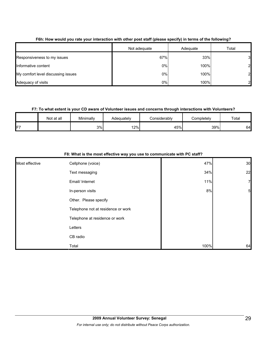|                                    | Not adequate | Adequate | Total |
|------------------------------------|--------------|----------|-------|
| Responsiveness to my issues        | 67%          | 33%      | 31    |
| Informative content                | 0%           | 100%     | 21    |
| My comfort level discussing issues | 0%           | 100%     | 21    |
| Adequacy of visits                 | 0%           | 100%     |       |

# **F6h: How would you rate your interaction with other post staff (please specify) in terms of the following?**

# **F7: To what extent is your CD aware of Volunteer issues and concerns through interactions with Volunteers?**

|    | Not at all | Minimally | Adequately | Considerably | Completely | Total |
|----|------------|-----------|------------|--------------|------------|-------|
| F7 |            | 3%        | 12%        | 45%          | 39%        | 64    |

|                | Fo: what is the most effective way you use to communicate with PC staff? |      |                 |  |  |
|----------------|--------------------------------------------------------------------------|------|-----------------|--|--|
| Most effective | Cellphone (voice)                                                        | 47%  | 30              |  |  |
|                | Text messaging                                                           | 34%  | 22              |  |  |
|                | Email/ Internet                                                          | 11%  | 7               |  |  |
|                | In-person visits                                                         | 8%   | $5\overline{)}$ |  |  |
|                | Other. Please specify                                                    |      |                 |  |  |
|                | Telephone not at residence or work                                       |      |                 |  |  |
|                | Telephone at residence or work                                           |      |                 |  |  |
|                | Letters                                                                  |      |                 |  |  |
|                | CB radio                                                                 |      |                 |  |  |
|                | Total                                                                    | 100% | 64              |  |  |

# **F8: What is the most effective way you use to communicate with PC staff?**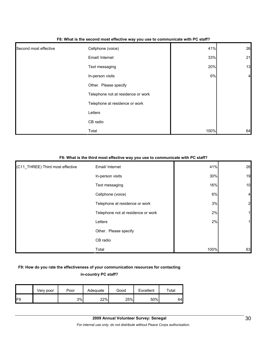| Second most effective | Cellphone (voice)                  | 41%  | 26             |
|-----------------------|------------------------------------|------|----------------|
|                       | Email/ Internet                    | 33%  | 21             |
|                       | Text messaging                     | 20%  | 13             |
|                       | In-person visits                   | 6%   | $\overline{4}$ |
|                       | Other. Please specify              |      |                |
|                       | Telephone not at residence or work |      |                |
|                       | Telephone at residence or work     |      |                |
|                       | Letters                            |      |                |
|                       | CB radio                           |      |                |
|                       | Total                              | 100% | 64             |

#### **F8: What is the second most effective way you use to communicate with PC staff?**

#### **F8: What is the third most effective way you use to communicate with PC staff?**

| (C11_THREE) Third most effective | Email/ Internet                    | 41%  | 26             |
|----------------------------------|------------------------------------|------|----------------|
|                                  | In-person visits                   | 30%  | 19             |
|                                  | Text messaging                     | 16%  | 10             |
|                                  | Cellphone (voice)                  | 6%   | $\overline{4}$ |
|                                  | Telephone at residence or work     | 3%   | $\overline{2}$ |
|                                  | Telephone not at residence or work | 2%   |                |
|                                  | Letters                            | 2%   |                |
|                                  | Other. Please specify              |      |                |
|                                  | CB radio                           |      |                |
|                                  | Total                              | 100% | 63             |

# **F9: How do you rate the effectiveness of your communication resources for contacting in-country PC staff?**

|     | Very poor | Poor | Adequate | Good | Excellent | ⊤otal |
|-----|-----------|------|----------|------|-----------|-------|
| IF9 |           | 3%   | 22%      | 25%  | 50%       | 64    |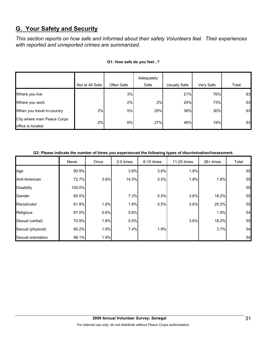# **G. Your Safety and Security**

*This section reports on how safe and informed about their safety Volunteers feel. Their experiences with reported and unreported crimes are summarized.* 

|                                                  |                 |            | Adequately |              |           |       |
|--------------------------------------------------|-----------------|------------|------------|--------------|-----------|-------|
|                                                  | Not at All Safe | Often Safe | Safe       | Usually Safe | Very Safe | Total |
| Where you live                                   |                 | 3%         |            | 21%          | 76%       | 63    |
| Where you work                                   |                 | 2%         | 2%         | 24%          | 73%       | 63    |
| When you travel in-country                       | 2%              | 5%         | 25%        | 38%          | 30%       | 63    |
| City where main Peace Corps<br>office is located | 2%              | 6%         | 27%        | 46%          | 19%       | 63    |

## **G1: How safe do you feel...?**

#### **G2: Please indicate the number of times you experienced the following types of discrimination/harassment.**

|                    | Never  | Once | 2-5 times | 6-10 times | 11-25 times | 26+ times | Total |
|--------------------|--------|------|-----------|------------|-------------|-----------|-------|
| Age                | 90.9%  |      | 3.6%      | 3.6%       | 1.8%        |           | 55    |
| Anti-American      | 72.7%  | 3.6% | 14.5%     | 5.5%       | 1.8%        | 1.8%      | 55    |
| <b>Disability</b>  | 100.0% |      |           |            |             |           | 55    |
| Gender             | 65.5%  |      | 7.3%      | 5.5%       | 3.6%        | 18.2%     | 55    |
| Racial/color       | 61.8%  | 1.8% | 1.8%      | 5.5%       | 3.6%        | 25.5%     | 55    |
| Religious          | 87.0%  | 5.6% | 5.6%      |            |             | 1.9%      | 54    |
| Sexual (verbal)    | 70.9%  | 1.8% | 5.5%      |            | 3.6%        | 18.2%     | 55    |
| Sexual (physical)  | 85.2%  | 1.9% | 7.4%      | 1.9%       |             | 3.7%      | 54    |
| Sexual orientation | 98.1%  | 1.9% |           |            |             |           | 54    |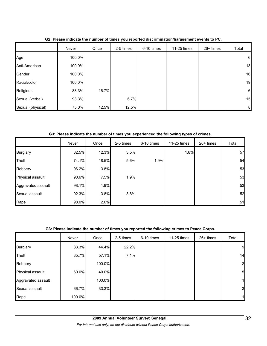|                   | Never  | Once  | 2-5 times | 6-10 times | 11-25 times | 26+ times | Total            |
|-------------------|--------|-------|-----------|------------|-------------|-----------|------------------|
| Age               | 100.0% |       |           |            |             |           | $6\phantom{.}6$  |
| Anti-American     | 100.0% |       |           |            |             |           | 13               |
| Gender            | 100.0% |       |           |            |             |           | 16               |
| Racial/color      | 100.0% |       |           |            |             |           | 19               |
| Religious         | 83.3%  | 16.7% |           |            |             |           | 6                |
| Sexual (verbal)   | 93.3%  |       | 6.7%      |            |             |           | 15               |
| Sexual (physical) | 75.0%  | 12.5% | 12.5%     |            |             |           | $\boldsymbol{8}$ |

**G2: Please indicate the number of times you reported discrimination/harassment events to PC.**

**G3: Please indicate the number of times you experienced the following types of crimes.**

|                    | Never | Once  | 2-5 times | 6-10 times | 11-25 times | 26+ times | Total |
|--------------------|-------|-------|-----------|------------|-------------|-----------|-------|
| <b>Burglary</b>    | 82.5% | 12.3% | 3.5%      |            | 1.8%        |           | 57    |
| Theft              | 74.1% | 18.5% | 5.6%      | 1.9%       |             |           | 54    |
| Robbery            | 96.2% | 3.8%  |           |            |             |           | 53    |
| Physical assault   | 90.6% | 7.5%  | 1.9%      |            |             |           | 53    |
| Aggravated assault | 98.1% | 1.9%  |           |            |             |           | 53    |
| Sexual assault     | 92.3% | 3.8%  | 3.8%      |            |             |           | 52    |
| Rape               | 98.0% | 2.0%  |           |            |             |           | 51    |

# **G3: Please indicate the number of times you reported the following crimes to Peace Corps.**

|                    | Never  | Once   | 2-5 times | 6-10 times | 11-25 times | $26+$ times | Total        |
|--------------------|--------|--------|-----------|------------|-------------|-------------|--------------|
| <b>Burglary</b>    | 33.3%  | 44.4%  | 22.2%     |            |             |             | 9            |
| Theft              | 35.7%  | 57.1%  | 7.1%      |            |             |             | 14           |
| Robbery            |        | 100.0% |           |            |             |             | $\mathbf{2}$ |
| Physical assault   | 60.0%  | 40.0%  |           |            |             |             | 5            |
| Aggravated assault |        | 100.0% |           |            |             |             | 1            |
| Sexual assault     | 66.7%  | 33.3%  |           |            |             |             | 3            |
| Rape               | 100.0% |        |           |            |             |             |              |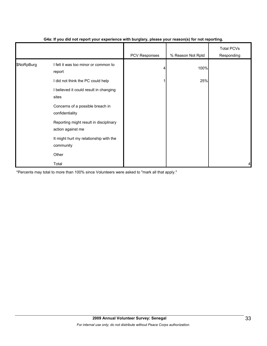|            |                                                             | .             | $\mathbf{v}$      |                                 |
|------------|-------------------------------------------------------------|---------------|-------------------|---------------------------------|
|            |                                                             | PCV Responses | % Reason Not Rptd | <b>Total PCVs</b><br>Responding |
| \$NoRpBurg | I felt it was too minor or common to<br>report              |               | 100%              |                                 |
|            | did not think the PC could help                             |               | 25%               |                                 |
|            | I believed it could result in changing<br>sites             |               |                   |                                 |
|            | Concerns of a possible breach in<br>confidentiality         |               |                   |                                 |
|            | Reporting might result in disciplinary<br>action against me |               |                   |                                 |
|            | It might hurt my relationship with the<br>community         |               |                   |                                 |
|            | Other                                                       |               |                   |                                 |
|            | Total                                                       |               |                   | 4                               |

# **G4a: If you did not report your experience with burglary, please your reason(s) for not reporting.**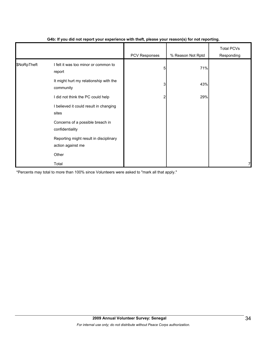|             |                                                             | PCV Responses | % Reason Not Rptd | <b>Total PCVs</b><br>Responding |
|-------------|-------------------------------------------------------------|---------------|-------------------|---------------------------------|
| \$NoRpTheft | I felt it was too minor or common to<br>report              | 5             | 71%               |                                 |
|             | It might hurt my relationship with the<br>community         | 3             | 43%               |                                 |
|             | I did not think the PC could help                           | 2             | 29%               |                                 |
|             | I believed it could result in changing<br>sites             |               |                   |                                 |
|             | Concerns of a possible breach in<br>confidentiality         |               |                   |                                 |
|             | Reporting might result in disciplinary<br>action against me |               |                   |                                 |
|             | Other                                                       |               |                   |                                 |
|             | Total                                                       |               |                   | 7                               |

# **G4b: If you did not report your experience with theft, please your reason(s) for not reporting.**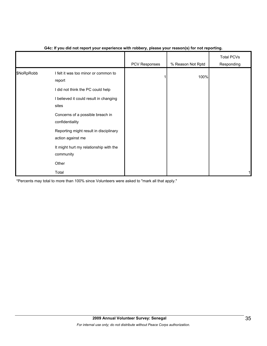|            |                                                                                                                               | PCV Responses | % Reason Not Rptd | <b>Total PCVs</b><br>Responding |
|------------|-------------------------------------------------------------------------------------------------------------------------------|---------------|-------------------|---------------------------------|
| \$NoRpRobb | I felt it was too minor or common to<br>report<br>I did not think the PC could help<br>I believed it could result in changing |               | 100%              |                                 |
|            | sites<br>Concerns of a possible breach in<br>confidentiality                                                                  |               |                   |                                 |
|            | Reporting might result in disciplinary<br>action against me                                                                   |               |                   |                                 |
|            | It might hurt my relationship with the<br>community                                                                           |               |                   |                                 |
|            | Other                                                                                                                         |               |                   |                                 |
|            | Total                                                                                                                         |               |                   |                                 |

# **G4c: If you did not report your experience with robbery, please your reason(s) for not reporting.**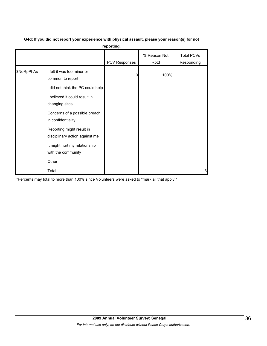|            |                                                             | reporting.           |                      |                          |
|------------|-------------------------------------------------------------|----------------------|----------------------|--------------------------|
|            |                                                             | <b>PCV Responses</b> | % Reason Not<br>Rptd | Total PCVs<br>Responding |
| \$NoRpPhAs | I felt it was too minor or<br>common to report              | 3                    | 100%                 |                          |
|            | I did not think the PC could help                           |                      |                      |                          |
|            | I believed it could result in<br>changing sites             |                      |                      |                          |
|            | Concerns of a possible breach<br>in confidentiality         |                      |                      |                          |
|            | Reporting might result in<br>disciplinary action against me |                      |                      |                          |
|            | It might hurt my relationship<br>with the community         |                      |                      |                          |
|            | Other                                                       |                      |                      |                          |
|            | Total                                                       |                      |                      | 3                        |

#### **G4d: If you did not report your experience with physical assault, please your reason(s) for not reporting.**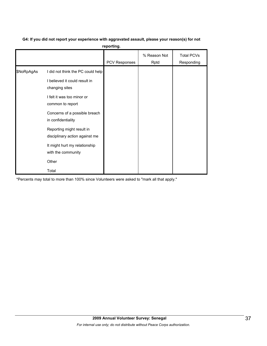# **G4: If you did not report your experience with aggravated assault, please your reason(s) for not**

**reporting.**

|            |                                                                                                                                                                         | PCV Responses | % Reason Not<br>Rptd | <b>Total PCVs</b><br>Responding |
|------------|-------------------------------------------------------------------------------------------------------------------------------------------------------------------------|---------------|----------------------|---------------------------------|
| \$NoRpAgAs | I did not think the PC could help<br>I believed it could result in<br>changing sites<br>I felt it was too minor or<br>common to report<br>Concerns of a possible breach |               |                      |                                 |
|            | in confidentiality<br>Reporting might result in<br>disciplinary action against me<br>It might hurt my relationship<br>with the community<br>Other<br>Total              |               |                      |                                 |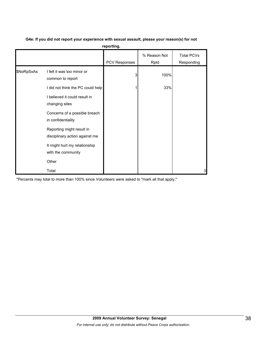|            |                                                             | reporting.    |                      |                                 |
|------------|-------------------------------------------------------------|---------------|----------------------|---------------------------------|
|            |                                                             | PCV Responses | % Reason Not<br>Rptd | <b>Total PCVs</b><br>Responding |
| \$NoRpSxAs | I felt it was too minor or<br>common to report              | 3             | 100%                 |                                 |
|            | I did not think the PC could help                           |               | 33%                  |                                 |
|            | I believed it could result in<br>changing sites             |               |                      |                                 |
|            | Concerns of a possible breach<br>in confidentiality         |               |                      |                                 |
|            | Reporting might result in<br>disciplinary action against me |               |                      |                                 |
|            | It might hurt my relationship<br>with the community         |               |                      |                                 |
|            | Other                                                       |               |                      |                                 |
|            | Total                                                       |               |                      | 3                               |

# **G4e: If you did not report your experience with sexual assault, please your reason(s) for not**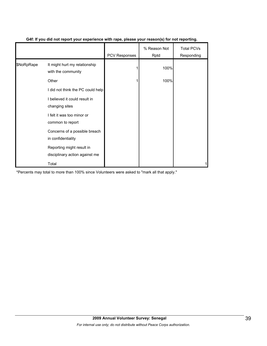|            |                                                             | <b>PCV Responses</b> | % Reason Not<br>Rptd | <b>Total PCVs</b><br>Responding |
|------------|-------------------------------------------------------------|----------------------|----------------------|---------------------------------|
| \$NoRpRape | It might hurt my relationship<br>with the community         |                      | 100%                 |                                 |
|            | Other                                                       |                      | 100%                 |                                 |
|            | I did not think the PC could help                           |                      |                      |                                 |
|            | I believed it could result in<br>changing sites             |                      |                      |                                 |
|            | I felt it was too minor or<br>common to report              |                      |                      |                                 |
|            | Concerns of a possible breach<br>in confidentiality         |                      |                      |                                 |
|            | Reporting might result in<br>disciplinary action against me |                      |                      |                                 |
|            | Total                                                       |                      |                      |                                 |

# **G4f: If you did not report your experience with rape, please your reason(s) for not reporting.**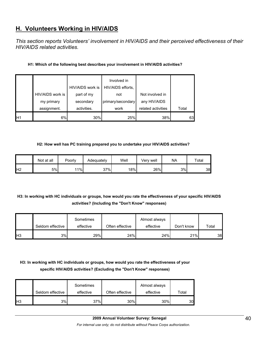# **H. Volunteers Working in HIV/AIDS**

*This section reports Volunteers' involvement in HIV/AIDS and their perceived effectiveness of their HIV/AIDS related activities.* 

# **H1: Which of the following best describes your involvement in HIV/AIDS activities?**

|     |                  | HIV/AIDS work is | Involved in<br>HIV/AIDS efforts, |                    |       |
|-----|------------------|------------------|----------------------------------|--------------------|-------|
|     | HIV/AIDS work is | part of my       | not                              | Not involved in    |       |
|     | my primary       | secondary        | primary/secondary                | any HIV/AIDS       |       |
|     | assignment.      | activities.      | work                             | related activities | Total |
| IH1 | 6%               | 30%              | 25%                              | 38%                | 63    |

#### **H2: How well has PC training prepared you to undertake your HIV/AIDS activities?**

|                 | Not at all | Poorly | Adequately | Well | Verv well | <b>NA</b> | Total |
|-----------------|------------|--------|------------|------|-----------|-----------|-------|
| IH <sub>2</sub> | 5%         | 11%    | 37%        | 18%  | 26%       | 3%        | 38    |

# **H3: In working with HC individuals or groups, how would you rate the effectiveness of your specific HIV/AIDS activities? (Including the "Don't Know" responses)**

|     | Seldom effective | Sometimes<br>effective | Often effective | Almost always<br>effective | Don't know | Total |
|-----|------------------|------------------------|-----------------|----------------------------|------------|-------|
| IH3 | 3%               | 29%                    | 24%             | 24%                        | 21%        | 38    |

# **H3: In working with HC individuals or groups, how would you rate the effectiveness of your specific HIV/AIDS activities? (Excluding the "Don't Know" responses)**

|                | Seldom effective | Sometimes<br>effective | Often effective | Almost always<br>effective | Total |
|----------------|------------------|------------------------|-----------------|----------------------------|-------|
| H <sub>3</sub> | 3%               | 37%                    | 30%             | 30%                        | 30    |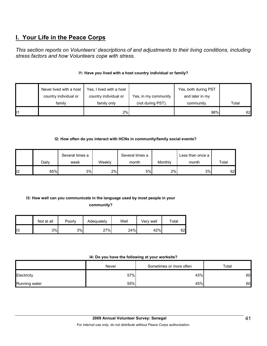# **I. Your Life in the Peace Corps**

*This section reports on Volunteers' descriptions of and adjustments to their living conditions, including stress factors and how Volunteers cope with stress.* 

# **I1: Have you lived with a host country individual or family?**

|    | Never lived with a host | Yes, I lived with a host |                      | Yes, both during PST |       |
|----|-------------------------|--------------------------|----------------------|----------------------|-------|
|    | country individual or   | country individual or    | Yes, in my community | and later in my      |       |
|    | family                  | family only              | (not during PST).    | community.           | Total |
| 11 |                         | 2%                       |                      | 98%                  | 62    |

# **I2: How often do you interact with HCNs in community/family social events?**

|     |       | Several times a |        | Several times a |         | Less than once a |       |
|-----|-------|-----------------|--------|-----------------|---------|------------------|-------|
|     | Dailv | week            | Weekly | month           | Monthly | month            | Total |
| ll2 | 85%   | 3%              | 2%     | 5%              | 2%1     | 3%               | 62    |

# **I3: How well can you communicate in the language used by most people in your community?**

|     | Not at all | Poorly | Adequately | Well | Very well | Total |
|-----|------------|--------|------------|------|-----------|-------|
| ll3 | 3%         | 3%     | 27%        | 24%  | 42%       | 62    |

# **I4: Do you have the following at your worksite?**

|               | Never | Sometimes or more often | Total |
|---------------|-------|-------------------------|-------|
| Electricity   | 57%   | 43%                     | 60    |
| Running water | 55%   | 45%                     | 60    |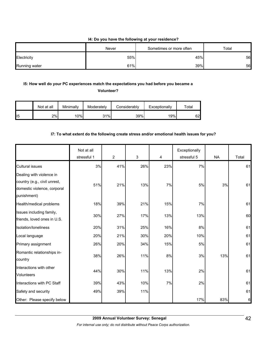# **I4: Do you have the following at your residence?**

|               | Never | Sometimes or more often | Total |
|---------------|-------|-------------------------|-------|
| Electricity   | 55%   | 45%                     | 56    |
| Running water | 61%   | 39%                     | 56    |

# **I5: How well do your PC experiences match the expectations you had before you became a**

**Volunteer?** 

|                 | Not at all | Minimallv | Moderately | Considerably | Exceptionally | $\tau$ otal |
|-----------------|------------|-----------|------------|--------------|---------------|-------------|
| II <sub>5</sub> | 2%         | 10%       | 31%।       | 39%          | 19%           | 62          |

# **I7: To what extent do the following create stress and/or emotional health issues for you?**

|                                                                                                        | Not at all<br>stressful 1 | $\overline{2}$ | $\mathfrak{S}$ | 4   | Exceptionally<br>stressful 5 | <b>NA</b> | Total |
|--------------------------------------------------------------------------------------------------------|---------------------------|----------------|----------------|-----|------------------------------|-----------|-------|
| <b>Cultural issues</b>                                                                                 | 3%                        | 41%            | 26%            | 23% | 7%                           |           | 61    |
| Dealing with violence in<br>country (e.g., civil unrest,<br>domestic violence, corporal<br>punishment) | 51%                       | 21%            | 13%            | 7%  | 5%                           | 3%        | 61    |
| Health/medical problems                                                                                | 18%                       | 39%            | 21%            | 15% | 7%                           |           | 61    |
| Issues including family,<br>friends, loved ones in U.S.                                                | 30%                       | 27%            | 17%            | 13% | 13%                          |           | 60    |
| Isolation/loneliness                                                                                   | 20%                       | 31%            | 25%            | 16% | 8%                           |           | 61    |
| Local language                                                                                         | 20%                       | 21%            | 30%            | 20% | 10%                          |           | 61    |
| Primary assignment                                                                                     | 26%                       | 20%            | 34%            | 15% | $5\%$                        |           | 61    |
| Romantic relationships in-<br>country                                                                  | 38%                       | 26%            | 11%            | 8%  | 3%                           | 13%       | 61    |
| Interactions with other<br><b>Volunteers</b>                                                           | 44%                       | 30%            | 11%            | 13% | 2%                           |           | 61    |
| Interactions with PC Staff                                                                             | 39%                       | 43%            | 10%            | 7%  | 2%                           |           | 61    |
| Safety and security                                                                                    | 49%                       | 39%            | 11%            |     |                              |           | 61    |
| Other: Please specify below                                                                            |                           |                |                |     | 17%                          | 83%       | 6     |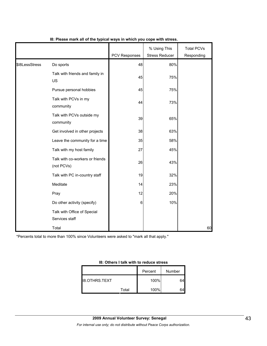|                |                                               | <b>PCV Responses</b> | % Using This<br><b>Stress Reducer</b> | <b>Total PCVs</b><br>Responding |
|----------------|-----------------------------------------------|----------------------|---------------------------------------|---------------------------------|
| \$18LessStress | Do sports                                     | 48                   | 80%                                   |                                 |
|                | Talk with friends and family in<br>US         | 45                   | 75%                                   |                                 |
|                | Pursue personal hobbies                       | 45                   | 75%                                   |                                 |
|                | Talk with PCVs in my<br>community             | 44                   | 73%                                   |                                 |
|                | Talk with PCVs outside my<br>community        | 39                   | 65%                                   |                                 |
|                | Get involved in other projects                | 38                   | 63%                                   |                                 |
|                | Leave the community for a time                | 35                   | 58%                                   |                                 |
|                | Talk with my host family                      | 27                   | 45%                                   |                                 |
|                | Talk with co-workers or friends<br>(not PCVs) | 26                   | 43%                                   |                                 |
|                | Talk with PC in-country staff                 | 19                   | 32%                                   |                                 |
|                | Meditate                                      | 14                   | 23%                                   |                                 |
|                | Pray                                          | 12                   | 20%                                   |                                 |
|                | Do other activity (specify)                   | 6                    | 10%                                   |                                 |
|                | Talk with Office of Special<br>Services staff |                      |                                       |                                 |
|                | Total                                         |                      |                                       | 60                              |

**I8: Please mark all of the typical ways in which you cope with stress.**

| 18: Others I talk with to reduce stress |  |
|-----------------------------------------|--|
|-----------------------------------------|--|

|                      |       | Percent | <b>Number</b> |
|----------------------|-------|---------|---------------|
| <b>18.OTHRS.TEXT</b> |       | 100%    |               |
|                      | Total | 100%    |               |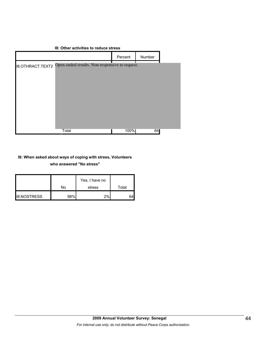|                         | 18: Other activities to reduce stress          |         |        |  |
|-------------------------|------------------------------------------------|---------|--------|--|
|                         |                                                | Percent | Number |  |
| <b>18.OTHRACT.TEXT2</b> | Open-ended results. Non-responsive to request. |         |        |  |
|                         | <b>Total</b>                                   | 100%    | 64     |  |

# **I8: When asked about ways of coping with stress, Volunteers who answered "No stress"**

|                    | No  | Yes, I have no<br>stress | Total |
|--------------------|-----|--------------------------|-------|
| <b>I8.NOSTRESS</b> | 98% | 2%                       |       |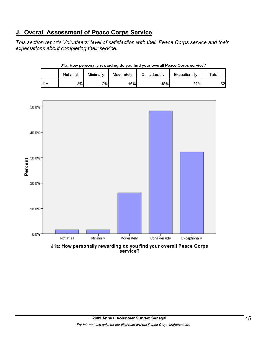# **J. Overall Assessment of Peace Corps Service**

*This section reports Volunteers' level of satisfaction with their Peace Corps service and their expectations about completing their service.* 

|                  | Not at all | Minimallv | Moderately | Considerably | Exceptionally | Total |
|------------------|------------|-----------|------------|--------------|---------------|-------|
| U <sub>1</sub> A | 2%         | 2%        | 16%        | 48%          | 32%           | 62    |

**J1a: How personally rewarding do you find your overall Peace Corps service?**

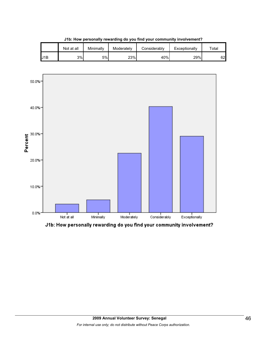|     | Not at all | Minimallv | Moderately | Considerablv | Exceptionally | $\tau$ otal |
|-----|------------|-----------|------------|--------------|---------------|-------------|
| J1B | 3%         | 5%        | 23%        | 40%          | 29%           | 62          |

**J1b: How personally rewarding do you find your community involvement?**



J1b: How personally rewarding do you find your community involvement?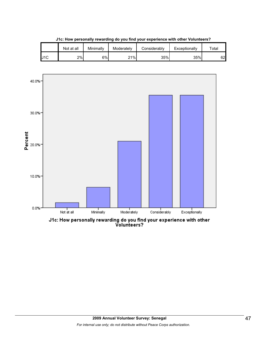|     | Not at all | Minimallv | Moderately | Considerablv | Exceptionally | ™ota⊩ |
|-----|------------|-----------|------------|--------------|---------------|-------|
| J1C | 2%         | 6%l       | 21%        | 35%          | 35%           | 62    |





J1c: How personally rewarding do you find your experience with other<br>Volunteers?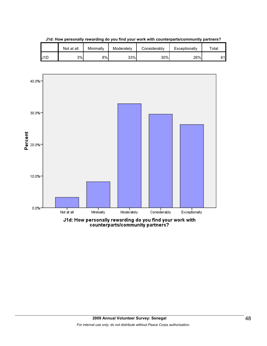

**J1d: How personally rewarding do you find your work with counterparts/community partners?**

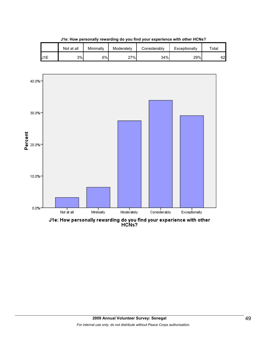|                 | Not at all | Minimallv | Moderately | Considerablv | Exceptionally | ⊤ota⊧ |
|-----------------|------------|-----------|------------|--------------|---------------|-------|
| J <sub>1E</sub> | 3%         | 6%        | 27%        | 34%          | 29%           | 62    |

**J1e: How personally rewarding do you find your experience with other HCNs?**

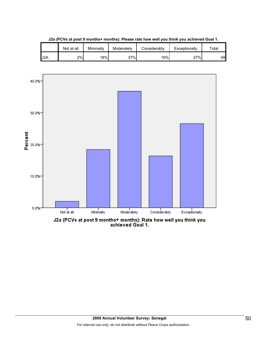|     | Not at all | Minimallv | Moderately | Considerablv | Exceptionally | $\tau$ otal |
|-----|------------|-----------|------------|--------------|---------------|-------------|
| J2A | 2%         | 18%       | 37%        | 16%          | 27%           | 49          |

**J2a (PCVs at post 9 months+ months): Please rate how well you think you achieved Goal 1.**



J2a (PCVs at post 9 months+ months): Rate how well you think you<br>achieved Goal 1.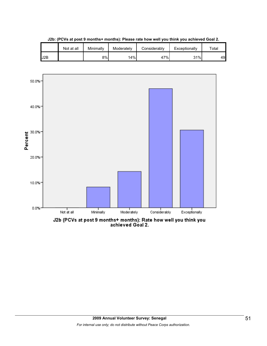|                  | Not at all | Minimally | Moderately | Considerably | Exceptionally | $\tau$ otal |
|------------------|------------|-----------|------------|--------------|---------------|-------------|
| J <sub>2</sub> B |            | 8%        | 14%        | 47%          | 31%           | 49          |

**J2b: (PCVs at post 9 months+ months): Please rate how well you think you achieved Goal 2.**

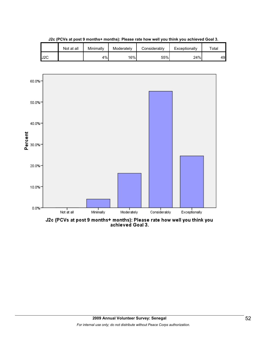

**J2c (PCVs at post 9 months+ months): Please rate how well you think you achieved Goal 3.**



J2c (PCVs at post 9 months+ months): Please rate how well you think you<br>achieved Goal 3.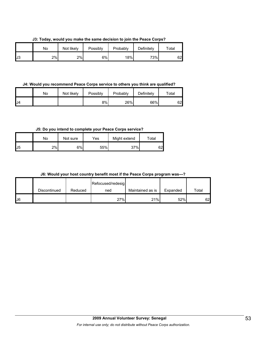**J3: Today, would you make the same decision to join the Peace Corps?**

|    | No | Not likely | Possibly | Probably | Definitely | $\tau$ otal |
|----|----|------------|----------|----------|------------|-------------|
| J3 | 2% | 2%         | 6%       | 18%      | 73%        | 62          |

**J4: Would you recommend Peace Corps service to others you think are qualified?**

|     | No | Not likely | Possibly | Probably | Definitely | $\tau$ otal |
|-----|----|------------|----------|----------|------------|-------------|
| IJ4 |    |            | 8%I      | 26%      | 66%        | 62          |

**J5: Do you intend to complete your Peace Corps service?**

|    | No | Not sure | Yes | Might extend | Total |
|----|----|----------|-----|--------------|-------|
| J5 | 2% | 6%       | 55% | 37%          | 62    |

|  |  |  |  |  | J6: Would your host country benefit most if the Peace Corps program was---? |  |
|--|--|--|--|--|-----------------------------------------------------------------------------|--|
|--|--|--|--|--|-----------------------------------------------------------------------------|--|

|    |              |         | Refocused/redesig |                  |          |       |
|----|--------------|---------|-------------------|------------------|----------|-------|
|    | Discontinued | Reduced | ned               | Maintained as is | Expanded | Total |
| J6 |              |         | 27%               | 21%              | 52%      | 62    |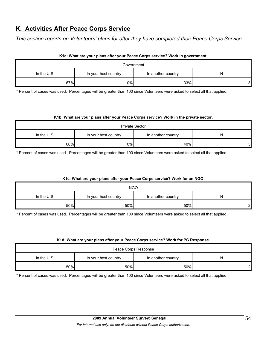# **K. Activities After Peace Corps Service**

*This section reports on Volunteers' plans for after they have completed their Peace Corps Service.* 

# **K1a: What are your plans after your Peace Corps service? Work in government.**

| Government  |                      |                    |   |  |
|-------------|----------------------|--------------------|---|--|
| In the U.S. | In your host country | In another country | N |  |
| 67%         | 0%l                  | 33%                | 3 |  |

\* Percent of cases was used. Percentages will be greater than 100 since Volunteers were asked to select all that applied.

#### **K1b: What are your plans after your Peace Corps service? Work in the private sector.**

| <b>Private Sector</b> |                      |                    |    |  |  |
|-----------------------|----------------------|--------------------|----|--|--|
| In the U.S.           | In your host country | In another country | N  |  |  |
| 60%                   | 0%l                  | 40%                | 51 |  |  |

\* Percent of cases was used. Percentages will be greater than 100 since Volunteers were asked to select all that applied.

# **K1c: What are your plans after your Peace Corps service? Work for an NGO.**

| <b>NGO</b>    |                      |                    |   |  |  |
|---------------|----------------------|--------------------|---|--|--|
| In the $U.S.$ | In your host country | In another country | N |  |  |
| 50%           | 50%                  | 50%                | ົ |  |  |

\* Percent of cases was used. Percentages will be greater than 100 since Volunteers were asked to select all that applied.

#### **K1d: What are your plans after your Peace Corps service? Work for PC Response.**

| Peace Corps Response |                      |                    |   |  |
|----------------------|----------------------|--------------------|---|--|
| In the U.S.          | In your host country | In another country | N |  |
| 50%                  | 50%                  | 50%                | c |  |

\* Percent of cases was used. Percentages will be greater than 100 since Volunteers were asked to select all that applied.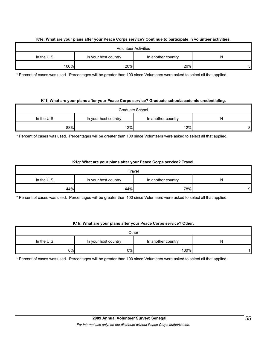# **K1e: What are your plans after your Peace Corps service? Continue to participate in volunteer activities.**

| <b>Volunteer Activities</b> |                      |                    |    |  |  |
|-----------------------------|----------------------|--------------------|----|--|--|
| In the $U.S.$               | In your host country | In another country | N  |  |  |
| 100%                        | 20%                  | 20%                | 51 |  |  |

\* Percent of cases was used. Percentages will be greater than 100 since Volunteers were asked to select all that applied.

#### **K1f: What are your plans after your Peace Corps service? Graduate school/academic credentialing.**

| Graduate School |                      |                    |   |  |  |
|-----------------|----------------------|--------------------|---|--|--|
| In the $U.S.$   | In your host country | In another country | N |  |  |
| 88%             | 12%                  | 12%                | 8 |  |  |

\* Percent of cases was used. Percentages will be greater than 100 since Volunteers were asked to select all that applied.

# **K1g: What are your plans after your Peace Corps service? Travel.**

| Travel        |                      |                    |   |  |  |
|---------------|----------------------|--------------------|---|--|--|
| In the $U.S.$ | In your host country | In another country | N |  |  |
| 44%           | 44%                  | 78%                | 9 |  |  |

\* Percent of cases was used. Percentages will be greater than 100 since Volunteers were asked to select all that applied.

# **K1h: What are your plans after your Peace Corps service? Other.**

| Other         |                      |                    |   |  |
|---------------|----------------------|--------------------|---|--|
| In the $U.S.$ | In your host country | In another country | N |  |
| 0%            | 0%                   | 100%               |   |  |

\* Percent of cases was used. Percentages will be greater than 100 since Volunteers were asked to select all that applied.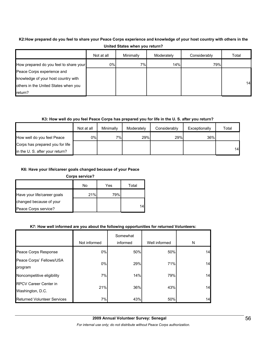# **K2:How prepared do you feel to share your Peace Corps experience and knowledge of your host country with others in the United States when you return?**

|                                        | Not at all | Minimally | Moderately | Considerably | Total           |
|----------------------------------------|------------|-----------|------------|--------------|-----------------|
| How prepared do you feel to share your | 0%         | 7%        | 14%        | 79%          |                 |
| Peace Corps experience and             |            |           |            |              |                 |
| knowledge of your host country with    |            |           |            |              |                 |
| others in the United States when you   |            |           |            |              | 14 <sup>1</sup> |
| return?                                |            |           |            |              |                 |

# **K3: How well do you feel Peace Corps has prepared you for life in the U. S. after you return?**

|                                 | Not at all | Minimally | Moderately | Considerably | Exceptionally | Total |
|---------------------------------|------------|-----------|------------|--------------|---------------|-------|
| How well do you feel Peace      | $0\%$      | 7%        | 29%        | 29%          | 36%           |       |
| Corps has prepared you for life |            |           |            |              |               |       |
| in the U. S. after your return? |            |           |            |              |               | 14    |

# **K6: Have your life/career goals changed because of your Peace**

**Corps service?**

|                             | No  | Yes | Total |
|-----------------------------|-----|-----|-------|
| Have your life/career goals | 21% | 79% |       |
| changed because of your     |     |     |       |
| Peace Corps service?        |     |     | 14    |

# **K7: How well informed are you about the following opportunities for returned Volunteers:**

|                                                  | Not informed | Somewhat<br>informed | Well informed | N  |
|--------------------------------------------------|--------------|----------------------|---------------|----|
| Peace Corps Response                             | 0%           | 50%                  | 50%           | 14 |
| Peace Corps' Fellows/USA<br>program              | $0\%$        | 29%                  | 71%           | 14 |
| Noncompetitive eligibility                       | 7%           | 14%                  | 79%           | 14 |
| <b>RPCV Career Center in</b><br>Washington, D.C. | 21%          | 36%                  | 43%           | 14 |
| <b>Returned Volunteer Services</b>               | 7%           | 43%                  | 50%           | 14 |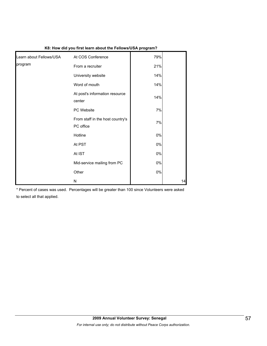| Learn about Fellows/USA | At COS Conference                             | 79%   |    |
|-------------------------|-----------------------------------------------|-------|----|
| program                 | From a recruiter                              | 21%   |    |
|                         | University website                            | 14%   |    |
|                         | Word of mouth                                 | 14%   |    |
|                         | At post's information resource<br>center      | 14%   |    |
|                         | PC Website                                    | 7%    |    |
|                         | From staff in the host country's<br>PC office | 7%    |    |
|                         | Hotline                                       | 0%    |    |
|                         | At PST                                        | 0%    |    |
|                         | At IST                                        | 0%    |    |
|                         | Mid-service mailing from PC                   | 0%    |    |
|                         | Other                                         | $0\%$ |    |
|                         | N                                             |       | 14 |

#### **K8: How did you first learn about the Fellows/USA program?**

\* Percent of cases was used. Percentages will be greater than 100 since Volunteers were asked

to select all that applied.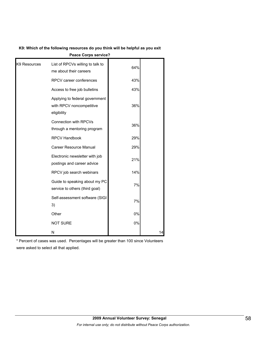| K9: Which of the following resources do you think will be helpful as you exit |  |
|-------------------------------------------------------------------------------|--|
|-------------------------------------------------------------------------------|--|

| <b>Peace Corps service?</b> |                                                                           |     |    |  |  |
|-----------------------------|---------------------------------------------------------------------------|-----|----|--|--|
| K9 Resources                | List of RPCVs willing to talk to<br>me about their careers                | 64% |    |  |  |
|                             | RPCV career conferences                                                   | 43% |    |  |  |
|                             | Access to free job bulletins                                              | 43% |    |  |  |
|                             | Applying to federal government<br>with RPCV noncompetitive<br>eligibility | 36% |    |  |  |
|                             | Connection with RPCVs<br>through a mentoring program                      | 36% |    |  |  |
|                             | <b>RPCV Handbook</b>                                                      | 29% |    |  |  |
|                             | Career Resource Manual                                                    | 29% |    |  |  |
|                             | Electronic newsletter with job<br>postings and career advice              | 21% |    |  |  |
|                             | RPCV job search webinars                                                  | 14% |    |  |  |
|                             | Guide to speaking about my PC<br>service to others (third goal)           | 7%  |    |  |  |
|                             | Self-assessment software (SIGI<br>3)                                      | 7%  |    |  |  |
|                             | Other                                                                     | 0%  |    |  |  |
|                             | <b>NOT SURE</b>                                                           | 0%  |    |  |  |
|                             | N                                                                         |     | 14 |  |  |

\* Percent of cases was used. Percentages will be greater than 100 since Volunteers were asked to select all that applied.